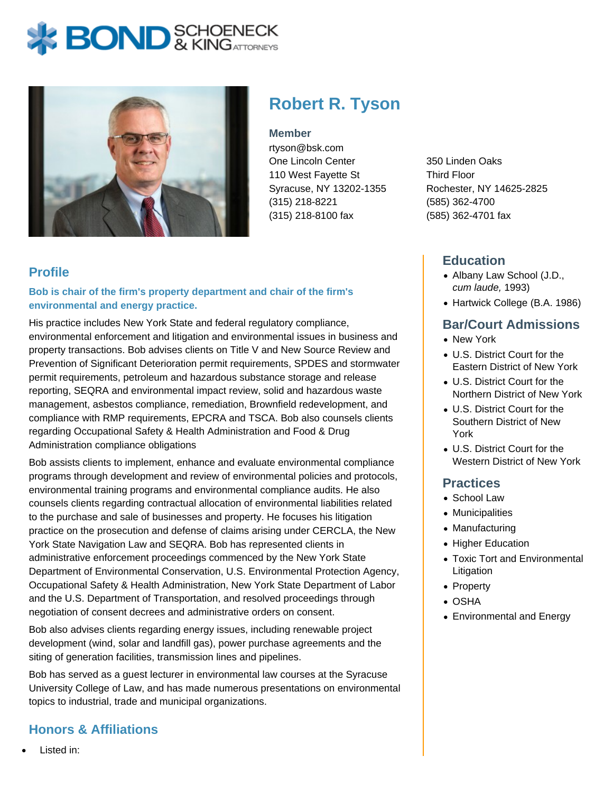# **BOND** & KING ATTORNECK



# **Robert R. Tyson**

#### **Member**

rtyson@bsk.com One Lincoln Center 110 West Fayette St Syracuse, NY 13202-1355 (315) 218-8221 (315) 218-8100 fax

#### **Profile**

#### **Bob is chair of the firm's property department and chair of the firm's environmental and energy practice.**

His practice includes New York State and federal regulatory compliance, environmental enforcement and litigation and environmental issues in business and property transactions. Bob advises clients on Title V and New Source Review and Prevention of Significant Deterioration permit requirements, SPDES and stormwater permit requirements, petroleum and hazardous substance storage and release reporting, SEQRA and environmental impact review, solid and hazardous waste management, asbestos compliance, remediation, Brownfield redevelopment, and compliance with RMP requirements, EPCRA and TSCA. Bob also counsels clients regarding Occupational Safety & Health Administration and Food & Drug Administration compliance obligations

Bob assists clients to implement, enhance and evaluate environmental compliance programs through development and review of environmental policies and protocols, environmental training programs and environmental compliance audits. He also counsels clients regarding contractual allocation of environmental liabilities related to the purchase and sale of businesses and property. He focuses his litigation practice on the prosecution and defense of claims arising under CERCLA, the New York State Navigation Law and SEQRA. Bob has represented clients in administrative enforcement proceedings commenced by the New York State Department of Environmental Conservation, U.S. Environmental Protection Agency, Occupational Safety & Health Administration, New York State Department of Labor and the U.S. Department of Transportation, and resolved proceedings through negotiation of consent decrees and administrative orders on consent.

Bob also advises clients regarding energy issues, including renewable project development (wind, solar and landfill gas), power purchase agreements and the siting of generation facilities, transmission lines and pipelines.

Bob has served as a guest lecturer in environmental law courses at the Syracuse University College of Law, and has made numerous presentations on environmental topics to industrial, trade and municipal organizations.

#### **Honors & Affiliations**

350 Linden Oaks Third Floor Rochester, NY 14625-2825 (585) 362-4700 (585) 362-4701 fax

#### **Education**

- Albany Law School (J.D., cum laude, 1993)
- Hartwick College (B.A. 1986)

#### **Bar/Court Admissions**

- New York
- U.S. District Court for the Eastern District of New York
- U.S. District Court for the Northern District of New York
- U.S. District Court for the Southern District of New York
- U.S. District Court for the Western District of New York

#### **Practices**

- School Law
- Municipalities
- Manufacturing
- Higher Education
- Toxic Tort and Environmental Litigation
- Property
- OSHA
- Environmental and Energy

Listed in: